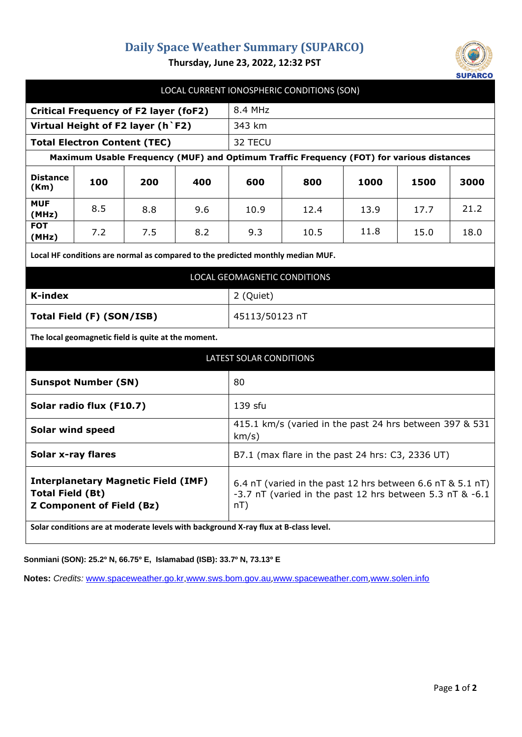## **Daily Space Weather Summary (SUPARCO)**



**Thursday, June 23, 2022, 12:32 PST**

|                                                                                                           |     |                                                     |     |                                                                                                                                  | LOCAL CURRENT IONOSPHERIC CONDITIONS (SON) |      |      |      |
|-----------------------------------------------------------------------------------------------------------|-----|-----------------------------------------------------|-----|----------------------------------------------------------------------------------------------------------------------------------|--------------------------------------------|------|------|------|
| <b>Critical Frequency of F2 layer (foF2)</b>                                                              |     |                                                     |     | 8.4 MHz                                                                                                                          |                                            |      |      |      |
| Virtual Height of F2 layer (h `F2)                                                                        |     |                                                     |     | 343 km                                                                                                                           |                                            |      |      |      |
| <b>Total Electron Content (TEC)</b>                                                                       |     |                                                     |     | 32 TECU                                                                                                                          |                                            |      |      |      |
| Maximum Usable Frequency (MUF) and Optimum Traffic Frequency (FOT) for various distances                  |     |                                                     |     |                                                                                                                                  |                                            |      |      |      |
| <b>Distance</b><br>(Km)                                                                                   | 100 | 200                                                 | 400 | 600                                                                                                                              | 800                                        | 1000 | 1500 | 3000 |
| <b>MUF</b><br>(MHz)                                                                                       | 8.5 | 8.8                                                 | 9.6 | 10.9                                                                                                                             | 12.4                                       | 13.9 | 17.7 | 21.2 |
| <b>FOT</b><br>(MHz)                                                                                       | 7.2 | 7.5                                                 | 8.2 | 9.3                                                                                                                              | 10.5                                       | 11.8 | 15.0 | 18.0 |
| Local HF conditions are normal as compared to the predicted monthly median MUF.                           |     |                                                     |     |                                                                                                                                  |                                            |      |      |      |
| LOCAL GEOMAGNETIC CONDITIONS                                                                              |     |                                                     |     |                                                                                                                                  |                                            |      |      |      |
| <b>K-index</b>                                                                                            |     |                                                     |     | 2 (Quiet)                                                                                                                        |                                            |      |      |      |
| Total Field (F) (SON/ISB)                                                                                 |     |                                                     |     | 45113/50123 nT                                                                                                                   |                                            |      |      |      |
|                                                                                                           |     | The local geomagnetic field is quite at the moment. |     |                                                                                                                                  |                                            |      |      |      |
| <b>LATEST SOLAR CONDITIONS</b>                                                                            |     |                                                     |     |                                                                                                                                  |                                            |      |      |      |
| <b>Sunspot Number (SN)</b>                                                                                |     |                                                     |     | 80                                                                                                                               |                                            |      |      |      |
| Solar radio flux (F10.7)                                                                                  |     |                                                     |     | 139 sfu                                                                                                                          |                                            |      |      |      |
| <b>Solar wind speed</b>                                                                                   |     |                                                     |     | 415.1 km/s (varied in the past 24 hrs between 397 & 531<br>km/s)                                                                 |                                            |      |      |      |
| <b>Solar x-ray flares</b>                                                                                 |     |                                                     |     | B7.1 (max flare in the past 24 hrs: C3, 2336 UT)                                                                                 |                                            |      |      |      |
| <b>Interplanetary Magnetic Field (IMF)</b><br><b>Total Field (Bt)</b><br><b>Z Component of Field (Bz)</b> |     |                                                     |     | 6.4 nT (varied in the past 12 hrs between 6.6 nT & 5.1 nT)<br>-3.7 nT (varied in the past 12 hrs between 5.3 nT & -6.1<br>$nT$ ) |                                            |      |      |      |
| Solar conditions are at moderate levels with background X-ray flux at B-class level.                      |     |                                                     |     |                                                                                                                                  |                                            |      |      |      |

**Sonmiani (SON): 25.2º N, 66.75º E, Islamabad (ISB): 33.7º N, 73.13º E**

**Notes:** *Credits:* [www.spaceweather.go.kr,](http://www.spaceweather.go.kr/)[www.sws.bom.gov.au](http://www.sws.bom.gov.au/),[www.spaceweather.com](http://www.spaceweather.com/),[www.solen.info](http://www.solen.info/)